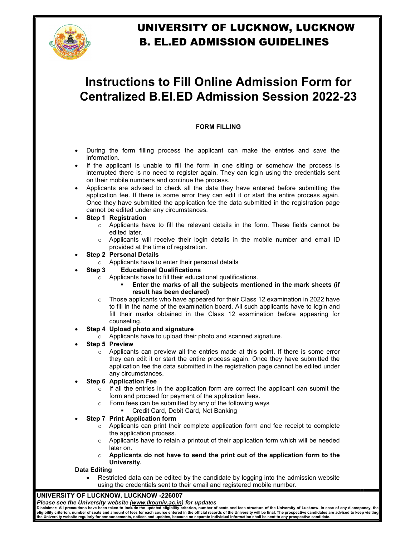

## UNIVERSITY OF LUCKNOW, LUCKNOW B. EL.ED ADMISSION GUIDELINES

# **Instructions to Fill Online Admission Form for Centralized B.El.ED Admission Session 2022-23**

### FORM FILLING

- During the form filling process the applicant can make the entries and save the information.
- If the applicant is unable to fill the form in one sitting or somehow the process is interrupted there is no need to register again. They can login using the credentials sent on their mobile numbers and continue the process.
- Applicants are advised to check all the data they have entered before submitting the application fee. If there is some error they can edit it or start the entire process again. Once they have submitted the application fee the data submitted in the registration page cannot be edited under any circumstances.
- Step 1 Registration
	- $\circ$  Applicants have to fill the relevant details in the form. These fields cannot be edited later.
	- $\circ$  Applicants will receive their login details in the mobile number and email ID provided at the time of registration.
- Step 2 Personal Details
	- o Applicants have to enter their personal details
- Step 3 Educational Qualifications
	- o Applicants have to fill their educational qualifications.
		- Enter the marks of all the subjects mentioned in the mark sheets (if result has been declared)
	- $\circ$  Those applicants who have appeared for their Class 12 examination in 2022 have to fill in the name of the examination board. All such applicants have to login and fill their marks obtained in the Class 12 examination before appearing for counseling.
- Step 4 Upload photo and signature
	- o Applicants have to upload their photo and scanned signature.
- Step 5 Preview
	- $\circ$  Applicants can preview all the entries made at this point. If there is some error they can edit it or start the entire process again. Once they have submitted the application fee the data submitted in the registration page cannot be edited under any circumstances.
- Step 6 Application Fee
	- $\circ$  If all the entries in the application form are correct the applicant can submit the form and proceed for payment of the application fees.
	- o Form fees can be submitted by any of the following ways
		- **Credit Card, Debit Card, Net Banking**
- Step 7 Print Application form
	- $\circ$  Applicants can print their complete application form and fee receipt to complete the application process.
	- $\circ$  Applicants have to retain a printout of their application form which will be needed later on.
	- o Applicants do not have to send the print out of the application form to the University.

#### Data Editing

 Restricted data can be edited by the candidate by logging into the admission website using the credentials sent to their email and registered mobile number.

#### UNIVERSITY OF LUCKNOW, LUCKNOW -226007

Please see the University website (www.lkouniv.ac.in) for updates

Disclaimer: All precautions have been taken to include the updated eligibility criterion, number of seats and fees structure of the University of Lucknow. In case of any discrepancy, the<br>eligibility criterion, number of se the University website regularly for announcements, notices and updates, because no separate individual information shall be sent to any prospective candidate.